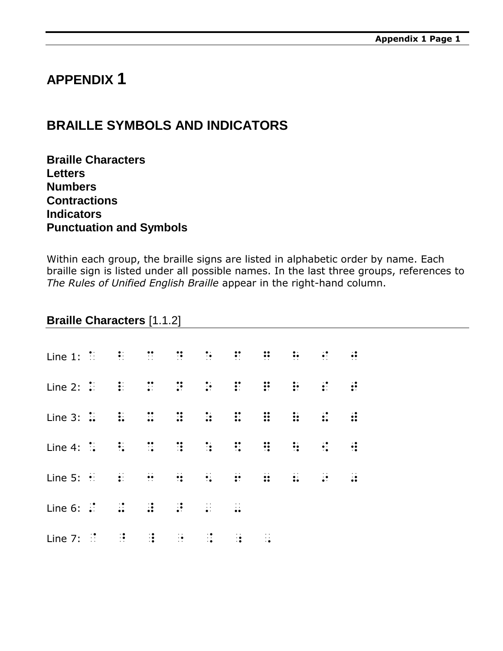# **APPENDIX 1**

# **BRAILLE SYMBOLS AND INDICATORS**

**Braille Characters Letters Numbers Contractions Indicators Punctuation and Symbols**

Within each group, the braille signs are listed in alphabetic order by name. Each braille sign is listed under all possible names. In the last three groups, references to *The Rules of Unified English Braille* appear in the right-hand column.

#### **Braille Characters** [1.1.2]

| Line 1: $\overline{11}$ , $\overline{11}$ , $\overline{11}$ , $\overline{11}$ , $\overline{11}$ , $\overline{11}$ , $\overline{11}$ , $\overline{11}$ , $\overline{11}$ , $\overline{11}$ , $\overline{11}$ , $\overline{11}$ , $\overline{11}$ , $\overline{11}$ , $\overline{11}$ |  |  |  |  |  |
|-------------------------------------------------------------------------------------------------------------------------------------------------------------------------------------------------------------------------------------------------------------------------------------|--|--|--|--|--|
| Line 2: $\ddot{z}$ and $\ddot{z}$ and $\ddot{z}$ and $\ddot{z}$ and $\ddot{z}$ and $\ddot{z}$ and $\ddot{z}$ and $\ddot{z}$ and $\ddot{z}$ and $\ddot{z}$ and $\ddot{z}$ and $\ddot{z}$ and $\ddot{z}$ and $\ddot{z}$ and $\ddot{z}$ and $\ddot{z}$ and $\ddot{$                    |  |  |  |  |  |
|                                                                                                                                                                                                                                                                                     |  |  |  |  |  |
|                                                                                                                                                                                                                                                                                     |  |  |  |  |  |
|                                                                                                                                                                                                                                                                                     |  |  |  |  |  |
| Line 6: $\mathbb{R}^2$ and $\mathbb{R}^2$ and $\mathbb{R}^2$ and $\mathbb{R}^2$                                                                                                                                                                                                     |  |  |  |  |  |
| Line 7: $\frac{37}{11}$ $\frac{37}{11}$ $\frac{37}{11}$ $\frac{37}{11}$ $\frac{37}{11}$ $\frac{37}{11}$ $\frac{37}{11}$ $\frac{37}{11}$                                                                                                                                             |  |  |  |  |  |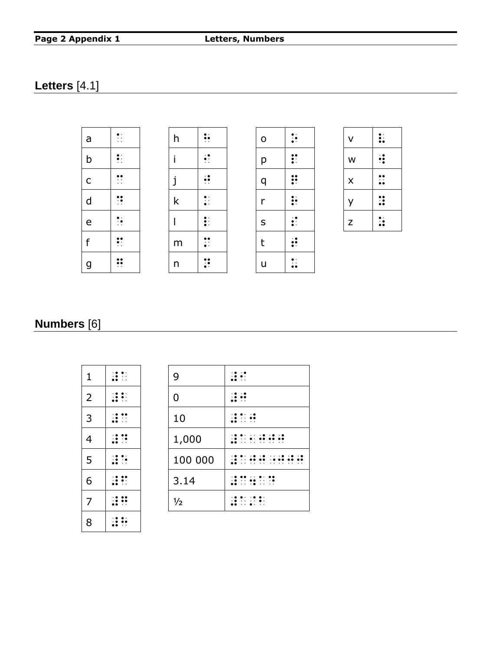#### **Page 2 Appendix 1 Letters, Numbers**

### **Letters** [4.1]



## **Numbers** [6]

| $\mathbf{1}$   | $\mathbf{R}$  |
|----------------|---------------|
| $\overline{2}$ | $\mathbb{R}$  |
| $\overline{3}$ | $\mathbf{R}$  |
| 4              | $\mathbf{R}$  |
| 5              | $\mathbf{R}$  |
| $\overline{6}$ | $\mathbf{R}$  |
| $\overline{7}$ | $\mathbf{::}$ |
| 8              | $\ddot{.}$    |

| 1              |  | 9       |                      |
|----------------|--|---------|----------------------|
| $\overline{2}$ |  | 0       |                      |
| 3              |  | 10      |                      |
| 4              |  | 1,000   |                      |
| 5              |  | 100 000 |                      |
| 6              |  | 3.14    | $\ddot{\phantom{0}}$ |
| 7              |  | 1/2     | . .                  |
|                |  |         |                      |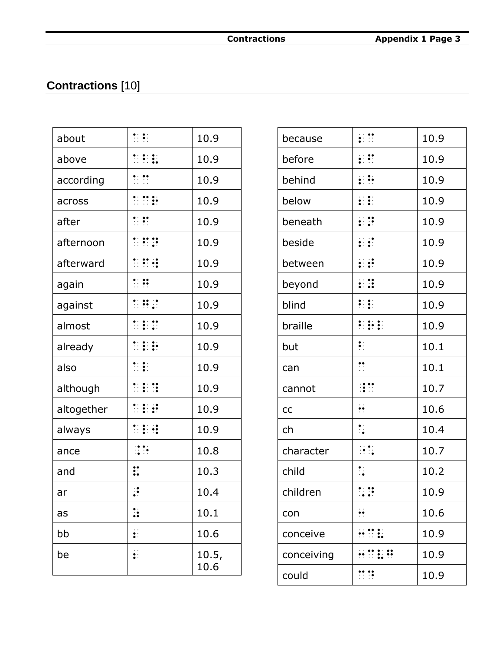# Contractions [10]

| about      | $\frac{1}{2}$                                   | 10.9          |
|------------|-------------------------------------------------|---------------|
| above      | $\mathbb{R}$ $\mathbb{R}$ $\mathbb{R}$          | 10.9          |
| according  | $\frac{1}{2}$                                   | 10.9          |
| across     | $\frac{1}{2}$                                   | 10.9          |
| after      | $\mathbb{R}$                                    | 10.9          |
| afternoon  | $\frac{1}{2}$ : $\frac{1}{2}$ : $\frac{1}{2}$ : | 10.9          |
| afterward  | n e g                                           | 10.9          |
| again      | $\ddot{\cdot}$ $\ddot{\cdot}$                   | 10.9          |
| against    |                                                 | 10.9          |
| almost     |                                                 | 10.9          |
| already    | $\mathbb{Z}$ $\mathbb{R}$ $\mathbb{R}$          | 10.9          |
| also       |                                                 | 10.9          |
| although   |                                                 | 10.9          |
| altogether | <b>MER</b>                                      | 10.9          |
| always     | <b>MER</b>                                      | 10.9          |
| ance       | $\frac{1}{2}$                                   | 10.8          |
| and        | $\ddot{\ddot{\cdot}}$                           | 10.3          |
| ar         | $\ddot{\cdot}$                                  | 10.4          |
| as         | ∷                                               | 10.1          |
| bb         | $\vdots$                                        | 10.6          |
| be         | $\ddot{\bullet}$ :                              | 10.5,<br>10.6 |

| because    | $\ddot{\ddot{\Sigma}}$            | 10.9 |
|------------|-----------------------------------|------|
| before     | $\vdots$ :                        | 10.9 |
| behind     | $\vdots$ :                        | 10.9 |
| below      | $\ddot{\ddot{\cdot}}$             | 10.9 |
| beneath    | $\ddotsc$                         | 10.9 |
| beside     | $\mathbf{C}$                      | 10.9 |
| between    | $\mathbf{H}$                      | 10.9 |
| beyond     | $\vdots$                          | 10.9 |
| blind      | $\ddot{z}$                        | 10.9 |
| braille    | <b>: :: :</b> :                   | 10.9 |
| but        | $\ddot{\cdot}$                    | 10.1 |
| can        | $\ddot{\cdot}$                    | 10.1 |
| cannot     | $\mathbb{R}^{\bullet}$            | 10.7 |
| cc         |                                   | 10.6 |
| ch         | $\ddot{\cdot}$ .                  | 10.4 |
| character  | $\frac{1}{2}$                     | 10.7 |
| child      | $\ddot{\cdot}$ .                  | 10.2 |
| children   |                                   | 10.9 |
| con        |                                   | 10.6 |
| conceive   | $\mathbf{H}$                      | 10.9 |
| conceiving | $\mathbf{H} \boxtimes \mathbf{H}$ | 10.9 |
| could      | $\mathbf{H}$                      | 10.9 |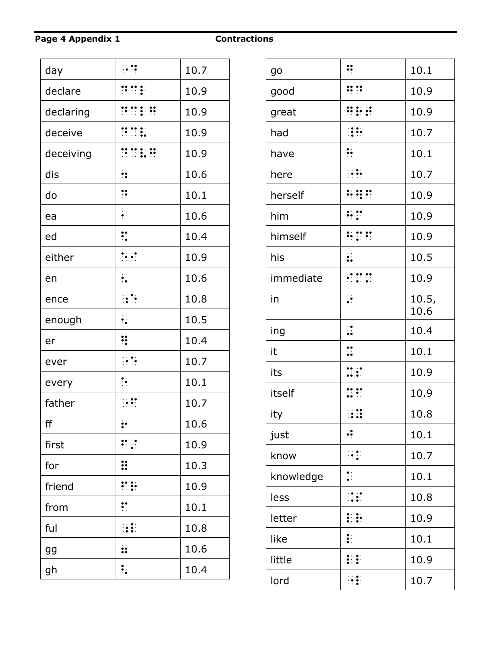Page 4 Appendix 1

**Contractions** 

| day       | $\dddot{\bullet}$ ::                                                  | 10.7 |
|-----------|-----------------------------------------------------------------------|------|
| declare   | $\mathbb{R}^{\bullet}$ $\mathbb{R}^{\bullet}$ :                       | 10.9 |
| declaring | $\frac{1}{2}$ $\frac{1}{2}$ $\frac{1}{2}$ $\frac{1}{2}$ $\frac{1}{2}$ | 10.9 |
| deceive   | $\frac{1}{2}$ $\frac{1}{2}$ $\frac{1}{2}$ $\frac{1}{2}$               | 10.9 |
| deceiving | $\frac{1}{2}$ $\frac{1}{2}$ $\frac{1}{2}$ $\frac{1}{2}$ $\frac{1}{2}$ | 10.9 |
| dis       | ∺                                                                     | 10.6 |
| do        | $\ddot{\cdot}$                                                        | 10.1 |
| ea        | $\ddot{\bullet}$ :                                                    | 10.6 |
| ed        | $\ddot{\cdot}$                                                        | 10.4 |
| either    |                                                                       | 10.9 |
| en        | $\ddot{\bullet}$                                                      | 10.6 |
| ence      |                                                                       | 10.8 |
| enough    | $\ddot{\cdot}$                                                        | 10.5 |
| er        | ∺                                                                     | 10.4 |
| ever      | $\frac{1}{2}$                                                         | 10.7 |
| every     | $\ddot{\cdot}$                                                        | 10.1 |
| father    | $\frac{1}{2}$                                                         | 10.7 |
| ff        | $\ddot{\cdot}$                                                        | 10.6 |
| first     | $\mathbf{H}$                                                          | 10.9 |
| for       | $\mathbf{ii}$                                                         | 10.3 |
| friend    | ∷∷                                                                    | 10.9 |
| from      | $\ddot{\cdot}$                                                        | 10.1 |
| ful       |                                                                       | 10.8 |
| gg        | $\vdots$                                                              | 10.6 |
| gh        | $\ddot{\cdot}$                                                        | 10.4 |
|           |                                                                       |      |

| go        | ∺                                                                               | 10.1          |
|-----------|---------------------------------------------------------------------------------|---------------|
| good      | $\mathbf{ii}$ $\mathbf{ii}$                                                     | 10.9          |
| great     |                                                                                 | 10.9          |
| had       | $\frac{1}{2}$                                                                   | 10.7          |
| have      | ∺                                                                               | 10.1          |
| here      | $\frac{1}{2}$                                                                   | 10.7          |
| herself   | <b>AND AND AND AND AND AD</b>                                                   | 10.9          |
| him       | ∺                                                                               | 10.9          |
| himself   | <b>AND AND SET</b>                                                              | 10.9          |
| his       | $\vdots$                                                                        | 10.5          |
| immediate | $\frac{1}{2}$ , $\frac{1}{2}$ , $\frac{1}{2}$ , $\frac{1}{2}$ , $\frac{1}{2}$ , | 10.9          |
| in        | $\ddot{\cdot}$                                                                  | 10.5,<br>10.6 |
| ing       | $\ddot{\cdot}$                                                                  | 10.4          |
| it        | $\ddot{\cdot}$                                                                  | 10.1          |
| its       | $\mathbf{u}$                                                                    | 10.9          |
| itself    | ∷∷                                                                              | 10.9          |
| ity       | 83                                                                              | 10.8          |
| just      | $\cdot$                                                                         | 10.1          |
| know      |                                                                                 | 10.7          |
| knowledge | $\ddot{\cdot}$                                                                  | 10.1          |
| less      | $\mathbb{R}$                                                                    | 10.8          |
| letter    | ₽₩                                                                              | 10.9          |
| like      | $\ddot{\cdot}$                                                                  | 10.1          |
| little    | $\mathbf{H}$                                                                    | 10.9          |
| lord      | $\frac{1}{2}$                                                                   | 10.7          |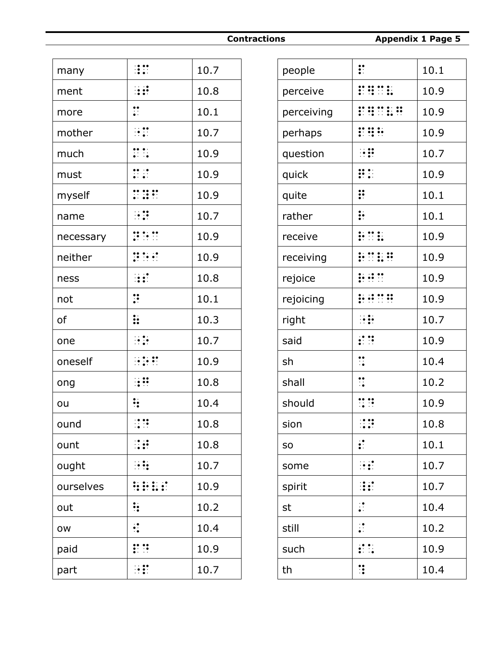| many      |                                                                                                                              | 10.7 |
|-----------|------------------------------------------------------------------------------------------------------------------------------|------|
| ment      | ⊞                                                                                                                            | 10.8 |
| more      | $\ddot{\cdot}$                                                                                                               | 10.1 |
| mother    | $\ddot{\cdot}$                                                                                                               | 10.7 |
| much      | $\begin{array}{ccc}\n\bullet & \bullet & \bullet \\ \bullet & \bullet & \bullet \\ \bullet & \bullet & \bullet\n\end{array}$ | 10.9 |
| must      | $\begin{array}{ccc}\n\bullet & \bullet & \bullet \\ \bullet & \bullet & \bullet\n\end{array}$                                | 10.9 |
| myself    | $\mathbb{C}$ $\mathbb{R}$ $\mathbb{C}$                                                                                       | 10.9 |
| name      | $\frac{1}{2}$                                                                                                                | 10.7 |
| necessary | $\frac{1}{2}$ $\frac{1}{2}$ $\frac{1}{2}$ $\frac{1}{2}$                                                                      | 10.9 |
| neither   | $\mathbb{R}^{n}$                                                                                                             | 10.9 |
| ness      | $\mathbf{H}$                                                                                                                 | 10.8 |
| not       | $\ddot{\cdot}$                                                                                                               | 10.1 |
| of        | $\vdots$                                                                                                                     | 10.3 |
| one       |                                                                                                                              | 10.7 |
| oneself   | $\mathbb{R}$ is a set                                                                                                        | 10.9 |
| ong       |                                                                                                                              | 10.8 |
| ou        | $\ddot{\cdot}$                                                                                                               | 10.4 |
| ound      | $\frac{1}{2}$                                                                                                                | 10.8 |
| ount      |                                                                                                                              | 10.8 |
| ought     | $\dddot{\bullet}$                                                                                                            | 10.7 |
| ourselves | <b>WWWWW</b>                                                                                                                 | 10.9 |
| out       | $\ddot{\cdot}$                                                                                                               | 10.2 |
| ow        | ∷                                                                                                                            | 10.4 |
| paid      | $\mathbf{::}$                                                                                                                | 10.9 |
| part      | $\mathbb{R}$                                                                                                                 | 10.7 |

| $\vdots$                                                                   | 10.1 |
|----------------------------------------------------------------------------|------|
| $\frac{1}{2}$                                                              | 10.9 |
|                                                                            | 10.9 |
|                                                                            | 10.9 |
| $\ddot{\cdot}$ $\ddot{\cdot}$                                              | 10.7 |
| $\mathbf{R}$                                                               | 10.9 |
| $\ddot{}}$                                                                 | 10.1 |
| $\vdots$                                                                   | 10.1 |
| $\frac{1}{2}$ $\frac{1}{2}$ $\frac{1}{2}$ $\frac{1}{2}$ $\frac{1}{2}$      | 10.9 |
| $\frac{1}{22}$ $\frac{1}{22}$ $\frac{1}{22}$ $\frac{1}{22}$                | 10.9 |
| $\frac{1}{2}$ : $\frac{1}{2}$ : $\frac{1}{2}$                              | 10.9 |
| $\frac{1}{22}$ $\frac{1}{22}$ $\frac{1}{22}$ $\frac{1}{22}$ $\frac{1}{22}$ | 10.9 |
| $\frac{1}{2}$                                                              | 10.7 |
| $\mathbf{C}$                                                               | 10.9 |
| $\ddot{\cdot}$                                                             | 10.4 |
| $\ddot{\cdot}$                                                             | 10.2 |
| $\mathbb{R}^2$                                                             | 10.9 |
| $\frac{1}{2}$                                                              | 10.8 |
| $\ddot{\cdot}$                                                             | 10.1 |
|                                                                            | 10.7 |
|                                                                            | 10.7 |
| $\ddot{\cdot}$                                                             | 10.4 |
| $\mathbb{R}^2$                                                             | 10.2 |
| $\mathbf{C}$                                                               | 10.9 |
| $\ddot{\ddot{\cdot}}$                                                      | 10.4 |
|                                                                            |      |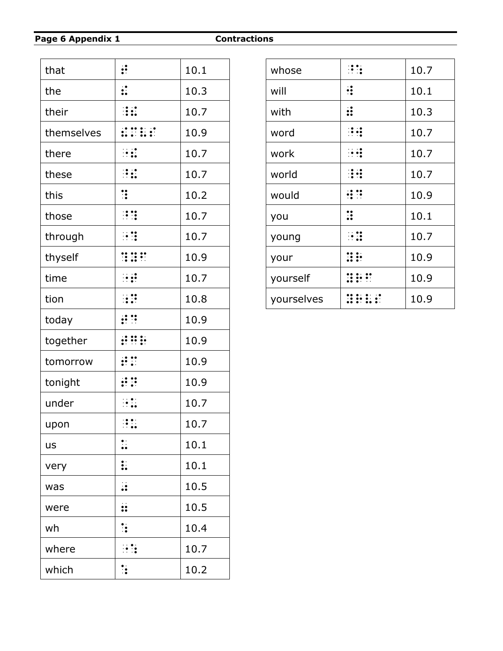#### Page 6 Appendix 1

**Contractions** 

| that       | $\ddot{\ddot{\cdot}}$                                                                                                                                                                                                                                                                                     | 10.1 |
|------------|-----------------------------------------------------------------------------------------------------------------------------------------------------------------------------------------------------------------------------------------------------------------------------------------------------------|------|
| the        | $\vdots$                                                                                                                                                                                                                                                                                                  | 10.3 |
| their      | H.                                                                                                                                                                                                                                                                                                        | 10.7 |
| themselves | $\mathbf{1} \mathbf{2} \mathbf{3} \mathbf{4}$                                                                                                                                                                                                                                                             | 10.9 |
| there      | $\frac{1}{2}$                                                                                                                                                                                                                                                                                             | 10.7 |
| these      | $\mathbb{R}$                                                                                                                                                                                                                                                                                              | 10.7 |
| this       | $\ddot{\ddot{\cdot}}$                                                                                                                                                                                                                                                                                     | 10.2 |
| those      |                                                                                                                                                                                                                                                                                                           | 10.7 |
| through    | <b>HI</b>                                                                                                                                                                                                                                                                                                 | 10.7 |
| thyself    | $\frac{1}{2}$ : $\frac{1}{2}$ : $\frac{1}{2}$ : $\frac{1}{2}$ : $\frac{1}{2}$ : $\frac{1}{2}$ : $\frac{1}{2}$ : $\frac{1}{2}$ : $\frac{1}{2}$ : $\frac{1}{2}$ : $\frac{1}{2}$ : $\frac{1}{2}$ : $\frac{1}{2}$ : $\frac{1}{2}$ : $\frac{1}{2}$ : $\frac{1}{2}$ : $\frac{1}{2}$ : $\frac{1}{2}$ : $\frac{1$ | 10.9 |
| time       | $\ddot{\cdot}$                                                                                                                                                                                                                                                                                            | 10.7 |
| tion       |                                                                                                                                                                                                                                                                                                           | 10.8 |
| today      | $\mathbf{R}$                                                                                                                                                                                                                                                                                              | 10.9 |
| together   | $\mathbf{1}$                                                                                                                                                                                                                                                                                              | 10.9 |
| tomorrow   | $\mathbf{R}$                                                                                                                                                                                                                                                                                              | 10.9 |
| tonight    | $\mathbf{H}$                                                                                                                                                                                                                                                                                              | 10.9 |
| under      | $\frac{1}{2}$                                                                                                                                                                                                                                                                                             | 10.7 |
| upon       | $\mathbb{R}$                                                                                                                                                                                                                                                                                              | 10.7 |
| <b>us</b>  | $\ddot{\phantom{a}}$                                                                                                                                                                                                                                                                                      | 10.1 |
| very       | $\vdots$                                                                                                                                                                                                                                                                                                  | 10.1 |
| was        | $\ddot{\cdot}$                                                                                                                                                                                                                                                                                            | 10.5 |
| were       | $\ddot{\bm{v}}$                                                                                                                                                                                                                                                                                           | 10.5 |
| wh         | $\ddot{\cdot}$                                                                                                                                                                                                                                                                                            | 10.4 |
| where      | ⊞.                                                                                                                                                                                                                                                                                                        | 10.7 |
| which      | $\ddot{\cdot}$                                                                                                                                                                                                                                                                                            | 10.2 |

| whose      |              | 10.7 |
|------------|--------------|------|
| will       |              | 10.1 |
| with       |              | 10.3 |
| word       | $\mathbf{.}$ | 10.7 |
| work       | $\mathbf{H}$ | 10.7 |
| world      |              | 10.7 |
| would      | ∰            | 10.9 |
| you        | ።            | 10.1 |
| young      | $\cdot$ ::   | 10.7 |
| your       |              | 10.9 |
| yourself   |              | 10.9 |
| yourselves |              | 10.9 |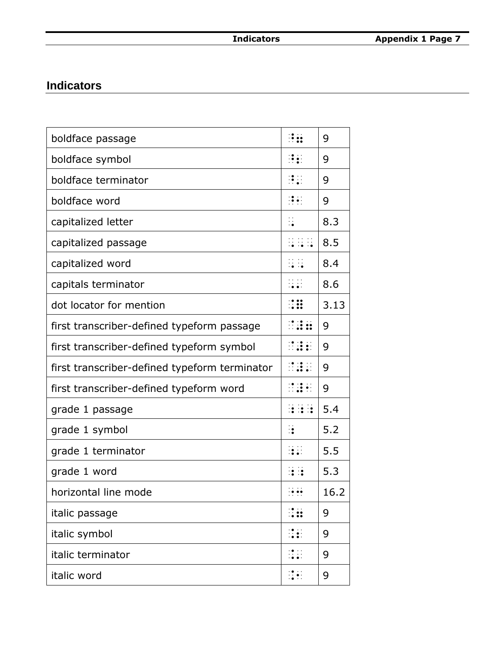## **Indicators**

| H.                                                          | 9    |
|-------------------------------------------------------------|------|
| H.                                                          | 9    |
| $\mathbb{R}^n$                                              | 9    |
| $\left[\begin{array}{cc} 0 & 0 \\ 0 & 0 \end{array}\right]$ | 9    |
| $\dddot{\cdot}$                                             | 8.3  |
| 11 11 11<br>10 10 10                                        | 8.5  |
| $\frac{11}{14}$                                             | 8.4  |
| $\frac{11}{2}$                                              | 8.6  |
| $\mathbb{R}$                                                | 3.13 |
| <b>MAR</b>                                                  | 9    |
| $\frac{1}{2}$                                               | 9    |
| $\frac{1}{2}$                                               | 9    |
|                                                             | 9    |
| <b>BER</b>                                                  | 5.4  |
| $\ddot{\cdot}$                                              | 5.2  |
|                                                             | 5.5  |
| 接触                                                          | 5.3  |
| $\frac{1}{2}$ : $\frac{1}{2}$                               | 16.2 |
|                                                             | 9    |
|                                                             | 9    |
| $\frac{1}{2}$                                               | 9    |
| $\frac{1}{2}$                                               | 9    |
|                                                             |      |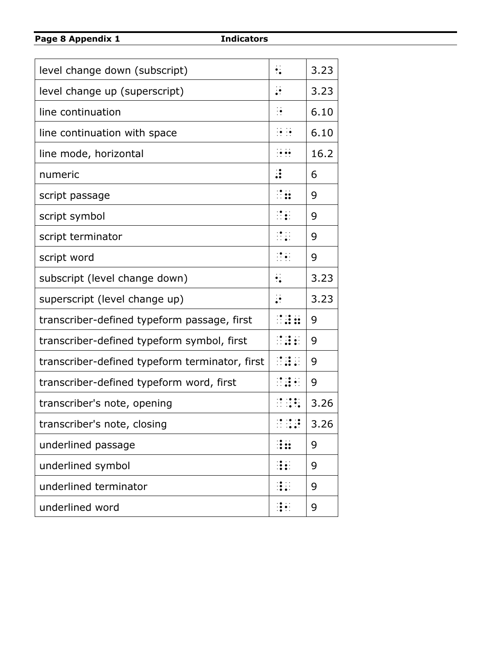**Page 8 Appendix 1 Indicators**

| level change down (subscript)                  | $\ddot{\cdot}$                      | 3.23 |
|------------------------------------------------|-------------------------------------|------|
| level change up (superscript)                  | $\ddot{\cdot}$                      | 3.23 |
| line continuation                              | $\frac{1}{2}$                       | 6.10 |
| line continuation with space                   | $\frac{1}{2}$                       | 6.10 |
| line mode, horizontal                          | $\frac{1}{2}$                       | 16.2 |
| numeric                                        | $\ddot{\cdot}$                      | 6    |
| script passage                                 | $\mathbb{R}$                        | 9    |
| script symbol                                  | $\mathbb{R}$                        | 9    |
| script terminator                              | $\mathbb{R}^{\bullet}_{\bullet}$ :  | 9    |
| script word                                    | $\frac{1}{2}$                       | 9    |
| subscript (level change down)                  | $\ddot{\cdot}$                      | 3.23 |
| superscript (level change up)                  | $\ddot{\cdot}$                      | 3.23 |
| transcriber-defined typeform passage, first    | $\mathbb{R}^{2}$ : $\mathbb{R}^{2}$ | 9    |
| transcriber-defined typeform symbol, first     |                                     | 9    |
| transcriber-defined typeform terminator, first | $\frac{1}{2}$                       | 9    |
| transcriber-defined typeform word, first       | $\mathbb{R}^2$ , $\mathbb{R}^2$     | 9    |
| transcriber's note, opening                    | $\mathbb{R}$ , $\mathbb{R}$ ,       | 3.26 |
| transcriber's note, closing                    | $\frac{1}{2}$                       | 3.26 |
| underlined passage                             |                                     | 9    |
| underlined symbol                              | i:                                  | 9    |
| underlined terminator                          |                                     | 9    |
| underlined word                                | $\frac{1}{2}$                       | 9    |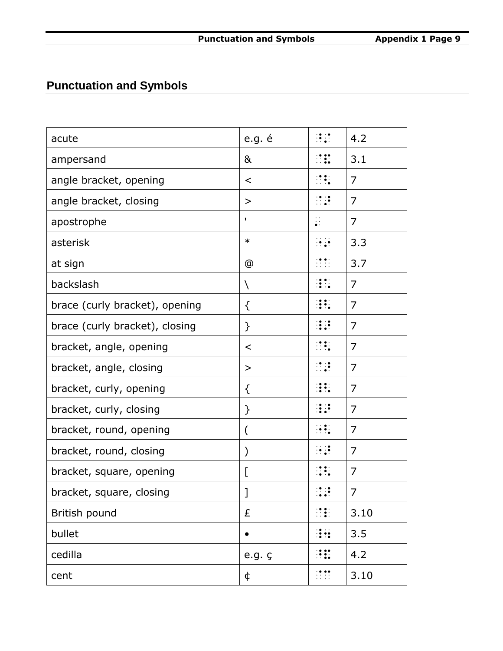# **Punctuation and Symbols**

| acute                          | e.g. é           | $\mathbb{R}^{\bullet}_{\bullet}$                                                                                                                                                                    | 4.2            |
|--------------------------------|------------------|-----------------------------------------------------------------------------------------------------------------------------------------------------------------------------------------------------|----------------|
| ampersand                      | &                | $\mathbb{R}$                                                                                                                                                                                        | 3.1            |
| angle bracket, opening         | $\prec$          | $\mathbb{R}$                                                                                                                                                                                        | 7              |
| angle bracket, closing         | $\geq$           | $\frac{1}{2}$                                                                                                                                                                                       | $\overline{7}$ |
| apostrophe                     | ٠                | $\ddot{\cdot}$                                                                                                                                                                                      | $\overline{7}$ |
| asterisk                       | $\ast$           | $\frac{1}{2}$                                                                                                                                                                                       | 3.3            |
| at sign                        | @                | $\frac{1}{2}$                                                                                                                                                                                       | 3.7            |
| backslash                      | N                | $\frac{1}{2}$                                                                                                                                                                                       | $\overline{7}$ |
| brace (curly bracket), opening | ₹                | $\frac{1}{2}$                                                                                                                                                                                       | $\overline{7}$ |
| brace (curly bracket), closing | $\mathcal{F}$    |                                                                                                                                                                                                     | $\overline{7}$ |
| bracket, angle, opening        | $\,<$            | $\mathbb{R}$                                                                                                                                                                                        | $\overline{7}$ |
| bracket, angle, closing        | $\geq$           | $\frac{1}{2}$                                                                                                                                                                                       | $\overline{7}$ |
| bracket, curly, opening        | ₹                | $\mathbb{R}$                                                                                                                                                                                        | 7              |
| bracket, curly, closing        | }                | $\mathbb{R}^2$                                                                                                                                                                                      | $\overline{7}$ |
| bracket, round, opening        | (                | $\left(\begin{smallmatrix} 1 & 0 & 0 \\ 0 & 0 & 0 \\ 0 & 0 & 0 \end{smallmatrix}\right)$                                                                                                            | $\overline{7}$ |
| bracket, round, closing        | $\mathcal{Y}$    | $\frac{1}{2}$                                                                                                                                                                                       | 7              |
| bracket, square, opening       | L                | $\frac{1}{2}$                                                                                                                                                                                       | 7              |
| bracket, square, closing       | J                | $\mathbb{R}^{\bullet}$<br>$\cdot$                                                                                                                                                                   | 7              |
| British pound                  | £                | $\mathbb{R}$                                                                                                                                                                                        | 3.10           |
| bullet                         | $\bullet$        | $\frac{1}{2}$                                                                                                                                                                                       | 3.5            |
| cedilla                        | $e.g. \varsigma$ | $\mathbb{R}$ :                                                                                                                                                                                      | 4.2            |
| cent                           | ¢                | $\begin{smallmatrix} \textbf{1} & \textbf{0} & \textbf{0} & \textbf{0} \\ \textbf{1} & \textbf{1} & \textbf{1} & \textbf{1} \\ \textbf{1} & \textbf{1} & \textbf{1} & \textbf{1} \end{smallmatrix}$ | 3.10           |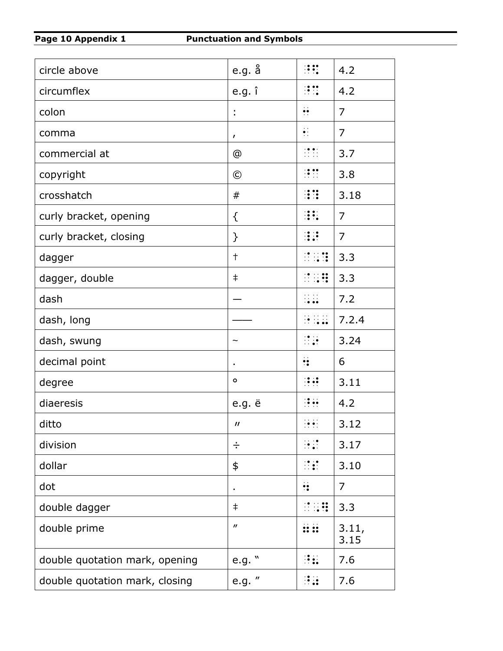| circle above                   | e.g. å                      | $\mathbb{R}^n$                         | 4.2            |
|--------------------------------|-----------------------------|----------------------------------------|----------------|
| circumflex                     | e.g. î                      | $\frac{1}{2}$                          | 4.2            |
| colon                          | t                           | $\ddot{\bullet}$                       | $\overline{7}$ |
| comma                          | $\mathbf{r}$                | $\bullet$ :                            | $\overline{7}$ |
| commercial at                  | @                           | $\frac{1}{2}$                          | 3.7            |
| copyright                      | $\odot$                     | $\mathbb{R}^{\bullet}$                 | 3.8            |
| crosshatch                     | $^{\#}$                     |                                        | 3.18           |
| curly bracket, opening         | {                           | $\frac{1}{2}$                          | $\overline{7}$ |
| curly bracket, closing         | $\mathcal{F}$               |                                        | 7              |
| dagger                         | $\ddagger$                  |                                        | 3.3            |
| dagger, double                 | $\ddagger$                  | $\frac{1}{2}$                          | 3.3            |
| dash                           |                             | $\frac{1}{2}$                          | 7.2            |
| dash, long                     |                             | 88                                     | 7.2.4          |
| dash, swung                    |                             | $\frac{1}{2}$                          | 3.24           |
| decimal point                  |                             | $\ddot{\cdot}$                         | 6              |
| degree                         | $\circ$                     | $\mathbb{R}$                           | 3.11           |
| diaeresis                      | e.g. ë                      | $\frac{1}{2}$                          | 4.2            |
| ditto                          | $\boldsymbol{\prime\prime}$ | $\frac{1}{2}$                          | 3.12           |
| division                       | ÷                           | $\mathbb{R}^2$                         | 3.17           |
| dollar                         | \$                          | $\mathbb{R}$                           | 3.10           |
| dot                            |                             | $\dddot{\bullet}$                      | 7              |
| double dagger                  | $\ddagger$                  | $\mathbb{R}$ $\mathbb{R}$ $\mathbb{R}$ | 3.3            |
| double prime                   | $\boldsymbol{\prime\prime}$ | $\mathbf{ii}$                          | 3.11,<br>3.15  |
| double quotation mark, opening | e.g. $"$                    | H.                                     | 7.6            |
| double quotation mark, closing | e.g. "                      | $\frac{1}{2}$                          | 7.6            |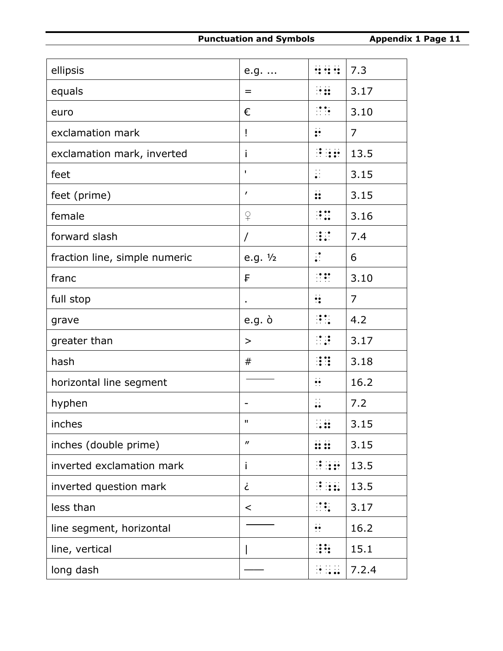| ellipsis                      | e.g.                        | <b>HE</b>                             | 7.3            |
|-------------------------------|-----------------------------|---------------------------------------|----------------|
| equals                        | $=$                         | $\frac{1}{2}$                         | 3.17           |
| euro                          | €                           | $\mathbb{R}^{\bullet}$                | 3.10           |
| exclamation mark              | Ţ                           | $\mathbf{L}$                          | $\overline{7}$ |
| exclamation mark, inverted    | $\mathbf{I}$                | $\mathbb{R}$ is a set of $\mathbb{R}$ | 13.5           |
| feet                          | I.                          | $\ddot{\ddot{\cdot}}$                 | 3.15           |
| feet (prime)                  | $\prime$                    | $\ddot{\cdot}$                        | 3.15           |
| female                        | $\mathsf{P}$                | $\mathbf{H}$                          | 3.16           |
| forward slash                 | $\prime$                    | $\frac{1}{2}$                         | 7.4            |
| fraction line, simple numeric | e.g. $1/2$                  | $\ddot{\cdot}$                        | 6              |
| franc                         | F                           | $\frac{1}{2}$                         | 3.10           |
| full stop                     |                             | $\ddot{\cdot}$                        | 7              |
| grave                         | $e.g. \n\dot{o}$            | $\mathbb{R}$ :                        | 4.2            |
| greater than                  | $\geq$                      | $\mathbb{R}$                          | 3.17           |
| hash                          | #                           | $\dddot{\mathbf{z}}$                  | 3.18           |
| horizontal line segment       |                             | $\ddot{\cdot}$                        | 16.2           |
| hyphen                        |                             | $\ddot{\cdot}$                        | 7.2            |
| inches                        | п                           |                                       | 3.15           |
| inches (double prime)         | $\boldsymbol{\prime\prime}$ |                                       | 3.15           |
| inverted exclamation mark     | $\mathbf{I}$                | $\mathbb{R}$ is a set                 | 13.5           |
| inverted question mark        | j                           | <b>BREE</b>                           | 13.5           |
| less than                     | $\,<\,$                     | $\mathbb{R}$                          | 3.17           |
| line segment, horizontal      |                             | $\ddot{\bullet}$                      | 16.2           |
| line, vertical                |                             | HH                                    | 15.1           |
| long dash                     |                             | 89 R.H                                | 7.2.4          |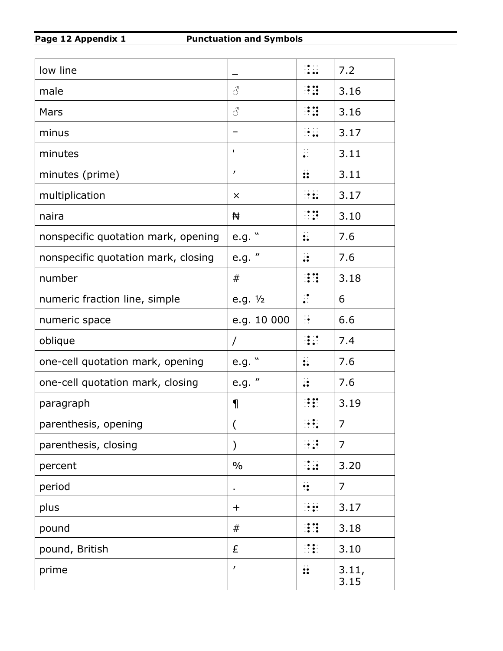| low line                            |               | ::::<br>::::              | 7.2            |
|-------------------------------------|---------------|---------------------------|----------------|
| male                                | 8             | $\mathbb{R}$              | 3.16           |
| <b>Mars</b>                         | 8             | $\ddot{a}$                | 3.16           |
| minus                               |               | $\frac{1}{2}$             | 3.17           |
| minutes                             | ٠             | $\ddot{\cdot}$            | 3.11           |
| minutes (prime)                     | ı             | $\ddot{\ddot{\mathbf{}}}$ | 3.11           |
| multiplication                      | $\times$      |                           | 3.17           |
| naira                               | ₩             | $\frac{1}{2}$             | 3.10           |
| nonspecific quotation mark, opening | e.g. "        | $\ddot{\bullet}$          | 7.6            |
| nonspecific quotation mark, closing | e.g. "        | $\ddot{\cdot}$            | 7.6            |
| number                              | #             |                           | 3.18           |
| numeric fraction line, simple       | e.g. $1/2$    | $\ddot{\cdot}$            | 6              |
| numeric space                       | e.g. 10 000   | $\frac{1}{2}$             | 6.6            |
| oblique                             | Τ             | $\frac{1}{2}$             | 7.4            |
| one-cell quotation mark, opening    | e.g. "        | $\ddot{\cdot}$            | 7.6            |
| one-cell quotation mark, closing    | e.g. "        | $\ddot{\cdot}$            | 7.6            |
| paragraph                           | $\P$          | $\mathbb{R}$ :            | 3.19           |
| parenthesis, opening                |               |                           | 7              |
| parenthesis, closing                | $\mathcal{Y}$ | ⊞                         | $\overline{7}$ |
| percent                             | $\frac{0}{0}$ | $\frac{1}{2}$             | 3.20           |
| period                              |               | $\ddot{\bullet}$          | $\overline{7}$ |
| plus                                | $\pm$         | $\frac{1}{2}$             | 3.17           |
| pound                               | #             |                           | 3.18           |
| pound, British                      | £             | $\frac{1}{2}$             | 3.10           |
| prime                               | ı             | $\ddot{\cdot}$            | 3.11,<br>3.15  |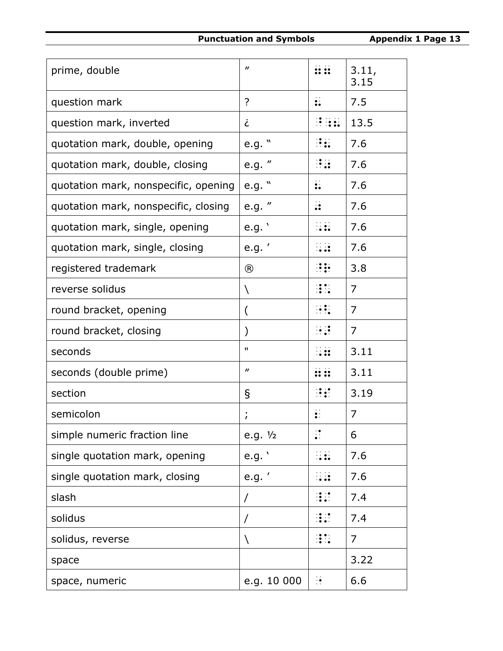| prime, double                        | $\boldsymbol{\prime\prime}$ | <b>ii ii</b>             | 3.11,<br>3.15  |
|--------------------------------------|-----------------------------|--------------------------|----------------|
| question mark                        | $\overline{?}$              | $\ddot{\bullet}$         | 7.5            |
| question mark, inverted              | خ                           | Henri                    | 13.5           |
| quotation mark, double, opening      | e.g. "                      | $\mathbf{R}$             | 7.6            |
| quotation mark, double, closing      | e.g. "                      | $\frac{1}{2}$            | 7.6            |
| quotation mark, nonspecific, opening | e.g. $"$                    | $\ddot{\cdot}$           | 7.6            |
| quotation mark, nonspecific, closing | e.g. "                      | $\ddot{\cdot}$           | 7.6            |
| quotation mark, single, opening      | e.g.                        | H.                       | 7.6            |
| quotation mark, single, closing      | e.g.'                       | H.                       | 7.6            |
| registered trademark                 | $^{\circledR}$              | $\mathbf{H}$             | 3.8            |
| reverse solidus                      | N                           | $\frac{1}{2}$            | $\overline{7}$ |
| round bracket, opening               | (                           | $\mathbb{R}$             | 7              |
| round bracket, closing               |                             | $\ddot{\cdot}$ :         | 7              |
| seconds                              | п                           | .                        | 3.11           |
| seconds (double prime)               | $\boldsymbol{\prime\prime}$ | $\mathbf{::} \mathbf{:}$ | 3.11           |
| section                              | ş                           | $\mathbb{R}$             | 3.19           |
| semicolon                            | $\mathbf{r}$                | $\ddot{\bullet}$ :       | 7              |
| simple numeric fraction line         | e.g. $1/2$                  | $\ddot{\cdot}$           | 6              |
| single quotation mark, opening       | e.g.                        |                          | 7.6            |
| single quotation mark, closing       | e.g.'                       | $\dddot{\bullet}$        | 7.6            |
| slash                                | $\prime$                    |                          | 7.4            |
| solidus                              | Τ                           |                          | 7.4            |
| solidus, reverse                     | N                           | $\frac{1}{2}$            | 7              |
| space                                |                             |                          | 3.22           |
| space, numeric                       | e.g. 10 000                 | $\frac{1}{2}$            | 6.6            |